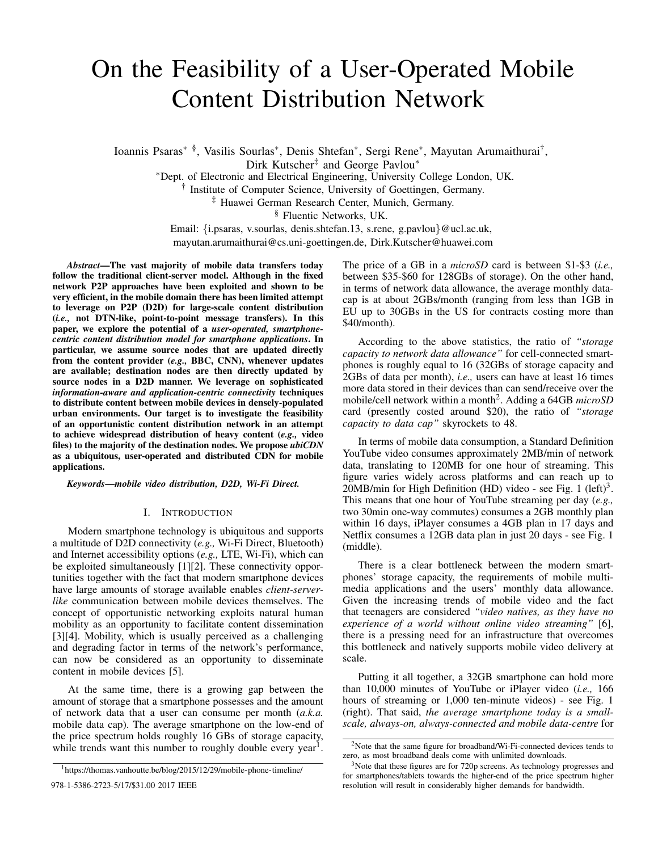# On the Feasibility of a User-Operated Mobile Content Distribution Network

Ioannis Psaras<sup>∗</sup> § , Vasilis Sourlas<sup>∗</sup> , Denis Shtefan<sup>∗</sup> , Sergi Rene<sup>∗</sup> , Mayutan Arumaithurai† , Dirk Kutscher<sup>‡</sup> and George Pavlou<sup>\*</sup>

<sup>∗</sup>Dept. of Electronic and Electrical Engineering, University College London, UK.

† Institute of Computer Science, University of Goettingen, Germany.

‡ Huawei German Research Center, Munich, Germany.

§ Fluentic Networks, UK.

Email: {i.psaras, v.sourlas, denis.shtefan.13, s.rene, g.pavlou}@ucl.ac.uk, mayutan.arumaithurai@cs.uni-goettingen.de, Dirk.Kutscher@huawei.com

*Abstract*—The vast majority of mobile data transfers today follow the traditional client-server model. Although in the fixed network P2P approaches have been exploited and shown to be very efficient, in the mobile domain there has been limited attempt to leverage on P2P (D2D) for large-scale content distribution (*i.e.,* not DTN-like, point-to-point message transfers). In this paper, we explore the potential of a *user-operated, smartphonecentric content distribution model for smartphone applications*. In particular, we assume source nodes that are updated directly from the content provider (*e.g.,* BBC, CNN), whenever updates are available; destination nodes are then directly updated by source nodes in a D2D manner. We leverage on sophisticated *information-aware and application-centric connectivity* techniques to distribute content between mobile devices in densely-populated urban environments. Our target is to investigate the feasibility of an opportunistic content distribution network in an attempt to achieve widespread distribution of heavy content (*e.g.,* video files) to the majority of the destination nodes. We propose *ubiCDN* as a ubiquitous, user-operated and distributed CDN for mobile applications.

*Keywords*—*mobile video distribution, D2D, Wi-Fi Direct.*

## I. INTRODUCTION

Modern smartphone technology is ubiquitous and supports a multitude of D2D connectivity (*e.g.,* Wi-Fi Direct, Bluetooth) and Internet accessibility options (*e.g.,* LTE, Wi-Fi), which can be exploited simultaneously [1][2]. These connectivity opportunities together with the fact that modern smartphone devices have large amounts of storage available enables *client-serverlike* communication between mobile devices themselves. The concept of opportunistic networking exploits natural human mobility as an opportunity to facilitate content dissemination [3][4]. Mobility, which is usually perceived as a challenging and degrading factor in terms of the network's performance, can now be considered as an opportunity to disseminate content in mobile devices [5].

At the same time, there is a growing gap between the amount of storage that a smartphone possesses and the amount of network data that a user can consume per month (*a.k.a.* mobile data cap). The average smartphone on the low-end of the price spectrum holds roughly 16 GBs of storage capacity, while trends want this number to roughly double every year<sup>1</sup>.

The price of a GB in a *microSD* card is between \$1-\$3 (*i.e.,* between \$35-\$60 for 128GBs of storage). On the other hand, in terms of network data allowance, the average monthly datacap is at about 2GBs/month (ranging from less than 1GB in EU up to 30GBs in the US for contracts costing more than \$40/month).

According to the above statistics, the ratio of *"storage capacity to network data allowance"* for cell-connected smartphones is roughly equal to 16 (32GBs of storage capacity and 2GBs of data per month), *i.e.,* users can have at least 16 times more data stored in their devices than can send/receive over the mobile/cell network within a month<sup>2</sup>. Adding a 64GB *microSD* card (presently costed around \$20), the ratio of *"storage capacity to data cap"* skyrockets to 48.

In terms of mobile data consumption, a Standard Definition YouTube video consumes approximately 2MB/min of network data, translating to 120MB for one hour of streaming. This figure varies widely across platforms and can reach up to  $20MB/min$  for High Definition (HD) video - see Fig. 1 (left)<sup>3</sup>. This means that one hour of YouTube streaming per day (*e.g.,* two 30min one-way commutes) consumes a 2GB monthly plan within 16 days, iPlayer consumes a 4GB plan in 17 days and Netflix consumes a 12GB data plan in just 20 days - see Fig. 1 (middle).

There is a clear bottleneck between the modern smartphones' storage capacity, the requirements of mobile multimedia applications and the users' monthly data allowance. Given the increasing trends of mobile video and the fact that teenagers are considered *"video natives, as they have no experience of a world without online video streaming"* [6], there is a pressing need for an infrastructure that overcomes this bottleneck and natively supports mobile video delivery at scale.

Putting it all together, a 32GB smartphone can hold more than 10,000 minutes of YouTube or iPlayer video (*i.e.,* 166 hours of streaming or 1,000 ten-minute videos) - see Fig. 1 (right). That said, *the average smartphone today is a smallscale, always-on, always-connected and mobile data-centre* for

<sup>&</sup>lt;sup>1</sup>https://thomas.vanhoutte.be/blog/2015/12/29/mobile-phone-timeline/

<sup>&</sup>lt;sup>2</sup>Note that the same figure for broadband/Wi-Fi-connected devices tends to zero, as most broadband deals come with unlimited downloads.

 $3$ Note that these figures are for 720p screens. As technology progresses and for smartphones/tablets towards the higher-end of the price spectrum higher 978-1-5386-2723-5/17/\$31.00 2017 IEEE resolution will result in considerably higher demands for bandwidth.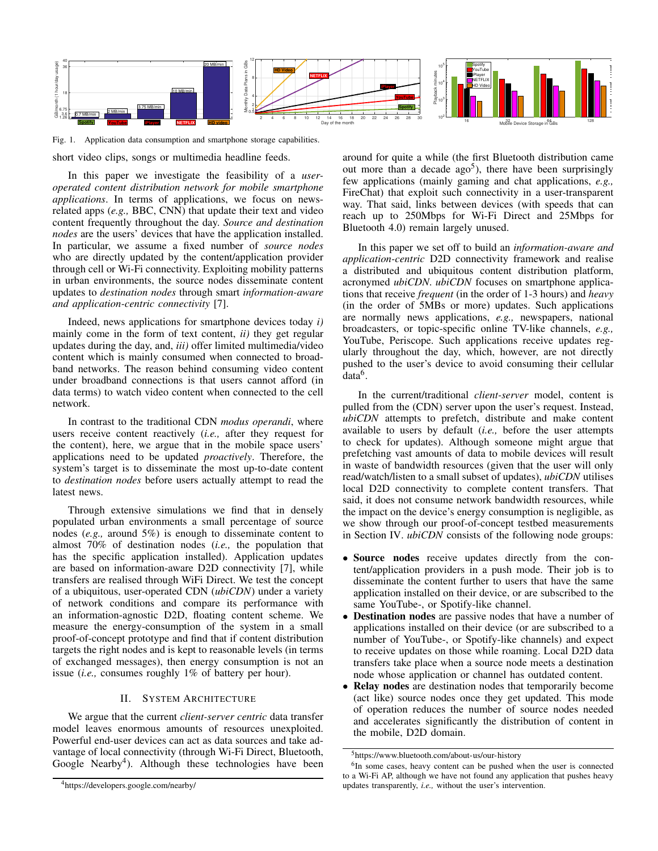

Fig. 1. Application data consumption and smartphone storage capabilities.

short video clips, songs or multimedia headline feeds.

In this paper we investigate the feasibility of a *useroperated content distribution network for mobile smartphone applications*. In terms of applications, we focus on newsrelated apps (*e.g.,* BBC, CNN) that update their text and video content frequently throughout the day. *Source and destination nodes* are the users' devices that have the application installed. In particular, we assume a fixed number of *source nodes* who are directly updated by the content/application provider through cell or Wi-Fi connectivity. Exploiting mobility patterns in urban environments, the source nodes disseminate content updates to *destination nodes* through smart *information-aware and application-centric connectivity* [7].

Indeed, news applications for smartphone devices today *i)* mainly come in the form of text content, *ii)* they get regular updates during the day, and, *iii)* offer limited multimedia/video content which is mainly consumed when connected to broadband networks. The reason behind consuming video content under broadband connections is that users cannot afford (in data terms) to watch video content when connected to the cell network.

In contrast to the traditional CDN *modus operandi*, where users receive content reactively (*i.e.,* after they request for the content), here, we argue that in the mobile space users' applications need to be updated *proactively*. Therefore, the system's target is to disseminate the most up-to-date content to *destination nodes* before users actually attempt to read the latest news.

Through extensive simulations we find that in densely populated urban environments a small percentage of source nodes (*e.g.,* around 5%) is enough to disseminate content to almost 70% of destination nodes (*i.e.,* the population that has the specific application installed). Application updates are based on information-aware D2D connectivity [7], while transfers are realised through WiFi Direct. We test the concept of a ubiquitous, user-operated CDN (*ubiCDN*) under a variety of network conditions and compare its performance with an information-agnostic D2D, floating content scheme. We measure the energy-consumption of the system in a small proof-of-concept prototype and find that if content distribution targets the right nodes and is kept to reasonable levels (in terms of exchanged messages), then energy consumption is not an issue (*i.e.,* consumes roughly 1% of battery per hour).

# II. SYSTEM ARCHITECTURE

We argue that the current *client-server centric* data transfer model leaves enormous amounts of resources unexploited. Powerful end-user devices can act as data sources and take advantage of local connectivity (through Wi-Fi Direct, Bluetooth, Google Nearby<sup>4</sup>). Although these technologies have been

around for quite a while (the first Bluetooth distribution came out more than a decade  $ago^5$ ), there have been surprisingly few applications (mainly gaming and chat applications, *e.g.,* FireChat) that exploit such connectivity in a user-transparent way. That said, links between devices (with speeds that can reach up to 250Mbps for Wi-Fi Direct and 25Mbps for Bluetooth 4.0) remain largely unused.

In this paper we set off to build an *information-aware and application-centric* D2D connectivity framework and realise a distributed and ubiquitous content distribution platform, acronymed *ubiCDN*. *ubiCDN* focuses on smartphone applications that receive *frequent* (in the order of 1-3 hours) and *heavy* (in the order of 5MBs or more) updates. Such applications are normally news applications, *e.g.,* newspapers, national broadcasters, or topic-specific online TV-like channels, *e.g.,* YouTube, Periscope. Such applications receive updates regularly throughout the day, which, however, are not directly pushed to the user's device to avoid consuming their cellular  $\tilde{d}$ ata<sup>6</sup>.

In the current/traditional *client-server* model, content is pulled from the (CDN) server upon the user's request. Instead, *ubiCDN* attempts to prefetch, distribute and make content available to users by default (*i.e.,* before the user attempts to check for updates). Although someone might argue that prefetching vast amounts of data to mobile devices will result in waste of bandwidth resources (given that the user will only read/watch/listen to a small subset of updates), *ubiCDN* utilises local D2D connectivity to complete content transfers. That said, it does not consume network bandwidth resources, while the impact on the device's energy consumption is negligible, as we show through our proof-of-concept testbed measurements in Section IV. *ubiCDN* consists of the following node groups:

- Source nodes receive updates directly from the content/application providers in a push mode. Their job is to disseminate the content further to users that have the same application installed on their device, or are subscribed to the same YouTube-, or Spotify-like channel.
- Destination nodes are passive nodes that have a number of applications installed on their device (or are subscribed to a number of YouTube-, or Spotify-like channels) and expect to receive updates on those while roaming. Local D2D data transfers take place when a source node meets a destination node whose application or channel has outdated content.
- Relay nodes are destination nodes that temporarily become (act like) source nodes once they get updated. This mode of operation reduces the number of source nodes needed and accelerates significantly the distribution of content in the mobile, D2D domain.

<sup>4</sup>https://developers.google.com/nearby/

<sup>5</sup>https://www.bluetooth.com/about-us/our-history

<sup>&</sup>lt;sup>6</sup>In some cases, heavy content can be pushed when the user is connected to a Wi-Fi AP, although we have not found any application that pushes heavy updates transparently, *i.e.,* without the user's intervention.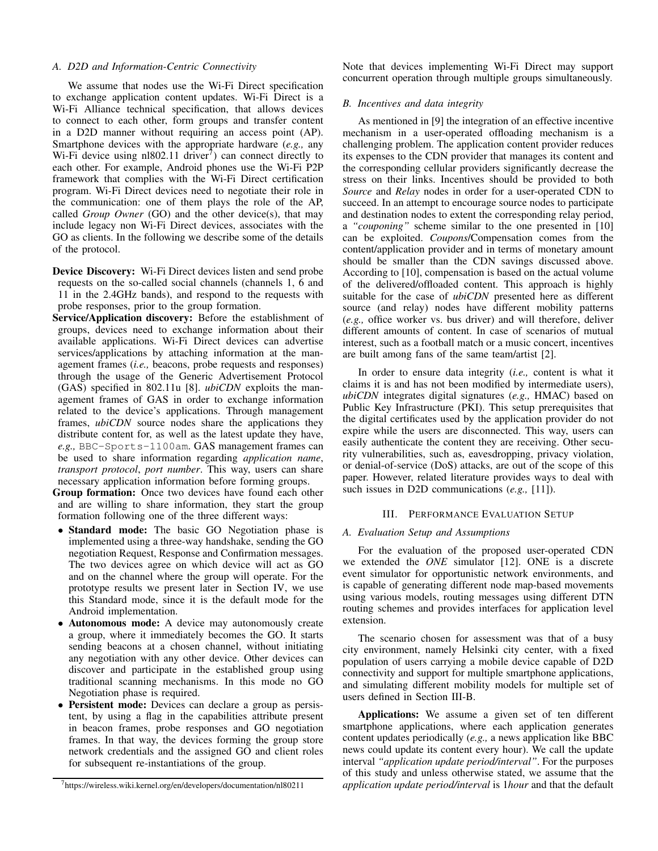#### *A. D2D and Information-Centric Connectivity*

We assume that nodes use the Wi-Fi Direct specification to exchange application content updates. Wi-Fi Direct is a Wi-Fi Alliance technical specification, that allows devices to connect to each other, form groups and transfer content in a D2D manner without requiring an access point (AP). Smartphone devices with the appropriate hardware (*e.g.,* any Wi-Fi device using  $n1802.11$  driver<sup>7</sup>) can connect directly to each other. For example, Android phones use the Wi-Fi P2P framework that complies with the Wi-Fi Direct certification program. Wi-Fi Direct devices need to negotiate their role in the communication: one of them plays the role of the AP, called *Group Owner* (GO) and the other device(s), that may include legacy non Wi-Fi Direct devices, associates with the GO as clients. In the following we describe some of the details of the protocol.

- Device Discovery: Wi-Fi Direct devices listen and send probe requests on the so-called social channels (channels 1, 6 and 11 in the 2.4GHz bands), and respond to the requests with probe responses, prior to the group formation.
- Service/Application discovery: Before the establishment of groups, devices need to exchange information about their available applications. Wi-Fi Direct devices can advertise services/applications by attaching information at the management frames (*i.e.,* beacons, probe requests and responses) through the usage of the Generic Advertisement Protocol (GAS) specified in 802.11u [8]. *ubiCDN* exploits the management frames of GAS in order to exchange information related to the device's applications. Through management frames, *ubiCDN* source nodes share the applications they distribute content for, as well as the latest update they have, *e.g.,* BBC-Sports-1100am. GAS management frames can be used to share information regarding *application name*, *transport protocol*, *port number*. This way, users can share necessary application information before forming groups.

Group formation: Once two devices have found each other and are willing to share information, they start the group formation following one of the three different ways:

- Standard mode: The basic GO Negotiation phase is implemented using a three-way handshake, sending the GO negotiation Request, Response and Confirmation messages. The two devices agree on which device will act as GO and on the channel where the group will operate. For the prototype results we present later in Section IV, we use this Standard mode, since it is the default mode for the Android implementation.
- Autonomous mode: A device may autonomously create a group, where it immediately becomes the GO. It starts sending beacons at a chosen channel, without initiating any negotiation with any other device. Other devices can discover and participate in the established group using traditional scanning mechanisms. In this mode no GO Negotiation phase is required.
- **Persistent mode:** Devices can declare a group as persistent, by using a flag in the capabilities attribute present in beacon frames, probe responses and GO negotiation frames. In that way, the devices forming the group store network credentials and the assigned GO and client roles for subsequent re-instantiations of the group.

Note that devices implementing Wi-Fi Direct may support concurrent operation through multiple groups simultaneously.

#### *B. Incentives and data integrity*

As mentioned in [9] the integration of an effective incentive mechanism in a user-operated offloading mechanism is a challenging problem. The application content provider reduces its expenses to the CDN provider that manages its content and the corresponding cellular providers significantly decrease the stress on their links. Incentives should be provided to both *Source* and *Relay* nodes in order for a user-operated CDN to succeed. In an attempt to encourage source nodes to participate and destination nodes to extent the corresponding relay period, a *"couponing"* scheme similar to the one presented in [10] can be exploited. *Coupons*/Compensation comes from the content/application provider and in terms of monetary amount should be smaller than the CDN savings discussed above. According to [10], compensation is based on the actual volume of the delivered/offloaded content. This approach is highly suitable for the case of *ubiCDN* presented here as different source (and relay) nodes have different mobility patterns (*e.g.,* office worker vs. bus driver) and will therefore, deliver different amounts of content. In case of scenarios of mutual interest, such as a football match or a music concert, incentives are built among fans of the same team/artist [2].

In order to ensure data integrity (*i.e.,* content is what it claims it is and has not been modified by intermediate users), *ubiCDN* integrates digital signatures (*e.g.,* HMAC) based on Public Key Infrastructure (PKI). This setup prerequisites that the digital certificates used by the application provider do not expire while the users are disconnected. This way, users can easily authenticate the content they are receiving. Other security vulnerabilities, such as, eavesdropping, privacy violation, or denial-of-service (DoS) attacks, are out of the scope of this paper. However, related literature provides ways to deal with such issues in D2D communications (*e.g.,* [11]).

## III. PERFORMANCE EVALUATION SETUP

#### *A. Evaluation Setup and Assumptions*

For the evaluation of the proposed user-operated CDN we extended the *ONE* simulator [12]. ONE is a discrete event simulator for opportunistic network environments, and is capable of generating different node map-based movements using various models, routing messages using different DTN routing schemes and provides interfaces for application level extension.

The scenario chosen for assessment was that of a busy city environment, namely Helsinki city center, with a fixed population of users carrying a mobile device capable of D2D connectivity and support for multiple smartphone applications, and simulating different mobility models for multiple set of users defined in Section III-B.

Applications: We assume a given set of ten different smartphone applications, where each application generates content updates periodically (*e.g.,* a news application like BBC news could update its content every hour). We call the update interval *"application update period/interval"*. For the purposes of this study and unless otherwise stated, we assume that the *application update period/interval* is 1*hour* and that the default

<sup>&</sup>lt;sup>7</sup>https://wireless.wiki.kernel.org/en/developers/documentation/nl80211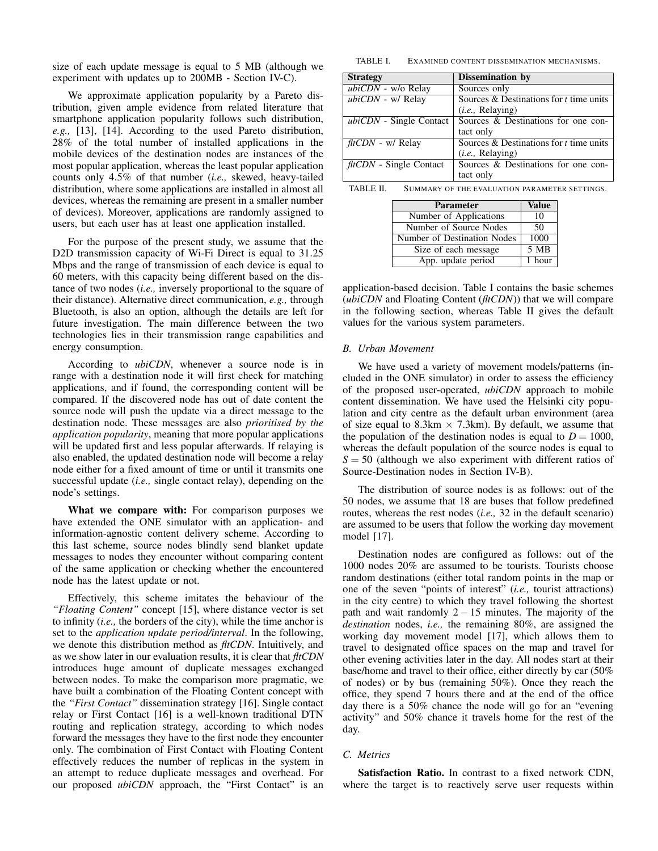size of each update message is equal to 5 MB (although we experiment with updates up to 200MB - Section IV-C).

We approximate application popularity by a Pareto distribution, given ample evidence from related literature that smartphone application popularity follows such distribution, *e.g.,* [13], [14]. According to the used Pareto distribution, 28% of the total number of installed applications in the mobile devices of the destination nodes are instances of the most popular application, whereas the least popular application counts only 4.5% of that number (*i.e.,* skewed, heavy-tailed distribution, where some applications are installed in almost all devices, whereas the remaining are present in a smaller number of devices). Moreover, applications are randomly assigned to users, but each user has at least one application installed.

For the purpose of the present study, we assume that the D2D transmission capacity of Wi-Fi Direct is equal to 31.25 Mbps and the range of transmission of each device is equal to 60 meters, with this capacity being different based on the distance of two nodes (*i.e.,* inversely proportional to the square of their distance). Alternative direct communication, *e.g.,* through Bluetooth, is also an option, although the details are left for future investigation. The main difference between the two technologies lies in their transmission range capabilities and energy consumption.

According to *ubiCDN*, whenever a source node is in range with a destination node it will first check for matching applications, and if found, the corresponding content will be compared. If the discovered node has out of date content the source node will push the update via a direct message to the destination node. These messages are also *prioritised by the application popularity*, meaning that more popular applications will be updated first and less popular afterwards. If relaying is also enabled, the updated destination node will become a relay node either for a fixed amount of time or until it transmits one successful update (*i.e.,* single contact relay), depending on the node's settings.

What we compare with: For comparison purposes we have extended the ONE simulator with an application- and information-agnostic content delivery scheme. According to this last scheme, source nodes blindly send blanket update messages to nodes they encounter without comparing content of the same application or checking whether the encountered node has the latest update or not.

Effectively, this scheme imitates the behaviour of the *"Floating Content"* concept [15], where distance vector is set to infinity (*i.e.,* the borders of the city), while the time anchor is set to the *application update period/interval*. In the following, we denote this distribution method as *fltCDN*. Intuitively, and as we show later in our evaluation results, it is clear that *fltCDN* introduces huge amount of duplicate messages exchanged between nodes. To make the comparison more pragmatic, we have built a combination of the Floating Content concept with the *"First Contact"* dissemination strategy [16]. Single contact relay or First Contact [16] is a well-known traditional DTN routing and replication strategy, according to which nodes forward the messages they have to the first node they encounter only. The combination of First Contact with Floating Content effectively reduces the number of replicas in the system in an attempt to reduce duplicate messages and overhead. For our proposed *ubiCDN* approach, the "First Contact" is an TABLE I. EXAMINED CONTENT DISSEMINATION MECHANISMS.

| <b>Strategy</b>                | <b>Dissemination</b> by                   |
|--------------------------------|-------------------------------------------|
| $ubiCDN - w/o$ Relay           | Sources only                              |
| ubiCDN - w/ Relay              | Sources & Destinations for $t$ time units |
|                                | (i.e., Relaying)                          |
| <i>ubiCDN</i> - Single Contact | Sources & Destinations for one con-       |
|                                | tact only                                 |
| $\text{ftCDN}$ - w/ Relay      | Sources & Destinations for $t$ time units |
|                                | (i.e., Relaying)                          |
| <i>fltCDN</i> - Single Contact | Sources & Destinations for one con-       |
|                                | tact only                                 |

TABLE II. SUMMARY OF THE EVALUATION PARAMETER SETTINGS.

| <b>Parameter</b>            | <b>Value</b> |
|-----------------------------|--------------|
| Number of Applications      | 10           |
| Number of Source Nodes      | 50           |
| Number of Destination Nodes | 1000         |
| Size of each message        | 5 MB         |
| App. update period          | 1 hour       |

application-based decision. Table I contains the basic schemes (*ubiCDN* and Floating Content (*fltCDN*)) that we will compare in the following section, whereas Table II gives the default values for the various system parameters.

## *B. Urban Movement*

We have used a variety of movement models/patterns (included in the ONE simulator) in order to assess the efficiency of the proposed user-operated, *ubiCDN* approach to mobile content dissemination. We have used the Helsinki city population and city centre as the default urban environment (area of size equal to 8.3km  $\times$  7.3km). By default, we assume that the population of the destination nodes is equal to  $D = 1000$ , whereas the default population of the source nodes is equal to  $S = 50$  (although we also experiment with different ratios of Source-Destination nodes in Section IV-B).

The distribution of source nodes is as follows: out of the 50 nodes, we assume that 18 are buses that follow predefined routes, whereas the rest nodes (*i.e.,* 32 in the default scenario) are assumed to be users that follow the working day movement model [17].

Destination nodes are configured as follows: out of the 1000 nodes 20% are assumed to be tourists. Tourists choose random destinations (either total random points in the map or one of the seven "points of interest" (*i.e.,* tourist attractions) in the city centre) to which they travel following the shortest path and wait randomly  $2 - 15$  minutes. The majority of the *destination* nodes, *i.e.,* the remaining 80%, are assigned the working day movement model [17], which allows them to travel to designated office spaces on the map and travel for other evening activities later in the day. All nodes start at their base/home and travel to their office, either directly by car (50% of nodes) or by bus (remaining 50%). Once they reach the office, they spend 7 hours there and at the end of the office day there is a 50% chance the node will go for an "evening activity" and 50% chance it travels home for the rest of the day.

## *C. Metrics*

Satisfaction Ratio. In contrast to a fixed network CDN, where the target is to reactively serve user requests within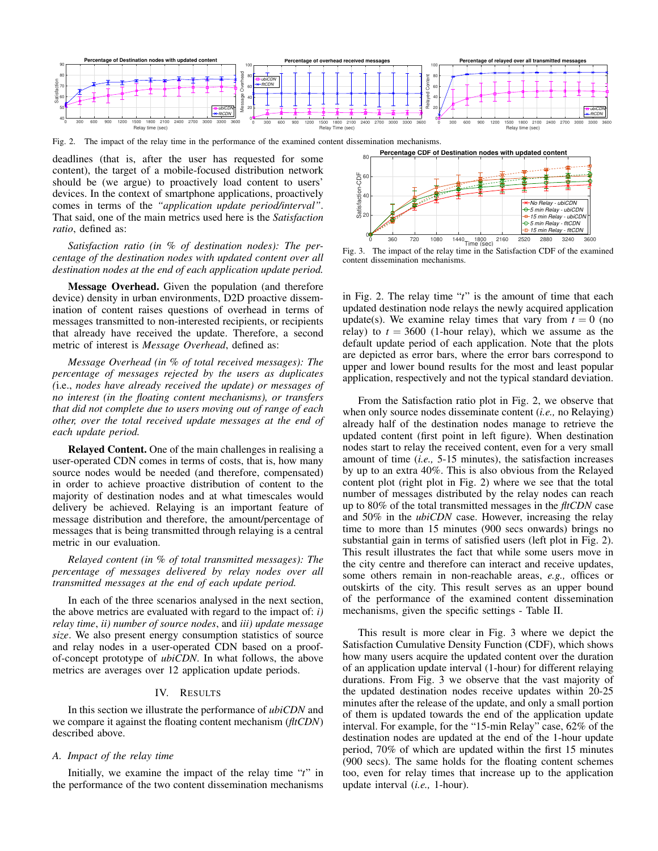

Fig. 2. The impact of the relay time in the performance of the examined content dissemination mechanisms.

deadlines (that is, after the user has requested for some content), the target of a mobile-focused distribution network should be (we argue) to proactively load content to users' devices. In the context of smartphone applications, proactively comes in terms of the *"application update period/interval"*. That said, one of the main metrics used here is the *Satisfaction ratio*, defined as:

*Satisfaction ratio (in* % *of destination nodes): The percentage of the destination nodes with updated content over all destination nodes at the end of each application update period.*

Message Overhead. Given the population (and therefore device) density in urban environments, D2D proactive dissemination of content raises questions of overhead in terms of messages transmitted to non-interested recipients, or recipients that already have received the update. Therefore, a second metric of interest is *Message Overhead*, defined as:

*Message Overhead (in* % *of total received messages): The percentage of messages rejected by the users as duplicates (*i.e., *nodes have already received the update) or messages of no interest (in the floating content mechanisms), or transfers that did not complete due to users moving out of range of each other, over the total received update messages at the end of each update period.*

Relayed Content. One of the main challenges in realising a user-operated CDN comes in terms of costs, that is, how many source nodes would be needed (and therefore, compensated) in order to achieve proactive distribution of content to the majority of destination nodes and at what timescales would delivery be achieved. Relaying is an important feature of message distribution and therefore, the amount/percentage of messages that is being transmitted through relaying is a central metric in our evaluation.

*Relayed content (in* % *of total transmitted messages): The percentage of messages delivered by relay nodes over all transmitted messages at the end of each update period.*

In each of the three scenarios analysed in the next section, the above metrics are evaluated with regard to the impact of: *i) relay time*, *ii) number of source nodes*, and *iii) update message size*. We also present energy consumption statistics of source and relay nodes in a user-operated CDN based on a proofof-concept prototype of *ubiCDN*. In what follows, the above metrics are averages over 12 application update periods.

## IV. RESULTS

In this section we illustrate the performance of *ubiCDN* and we compare it against the floating content mechanism (*fltCDN*) described above.

# *A. Impact of the relay time*

Initially, we examine the impact of the relay time "*t*" in the performance of the two content dissemination mechanisms



Fig. 3. The impact of the relay time in the Satisfaction CDF of the examined content dissemination mechanisms.

in Fig. 2. The relay time "*t*" is the amount of time that each updated destination node relays the newly acquired application update(s). We examine relay times that vary from  $t = 0$  (no relay) to  $t = 3600$  (1-hour relay), which we assume as the default update period of each application. Note that the plots are depicted as error bars, where the error bars correspond to upper and lower bound results for the most and least popular application, respectively and not the typical standard deviation.

From the Satisfaction ratio plot in Fig. 2, we observe that when only source nodes disseminate content (*i.e.,* no Relaying) already half of the destination nodes manage to retrieve the updated content (first point in left figure). When destination nodes start to relay the received content, even for a very small amount of time (*i.e.,* 5-15 minutes), the satisfaction increases by up to an extra 40%. This is also obvious from the Relayed content plot (right plot in Fig. 2) where we see that the total number of messages distributed by the relay nodes can reach up to 80% of the total transmitted messages in the *fltCDN* case and 50% in the *ubiCDN* case. However, increasing the relay time to more than 15 minutes (900 secs onwards) brings no substantial gain in terms of satisfied users (left plot in Fig. 2). This result illustrates the fact that while some users move in the city centre and therefore can interact and receive updates, some others remain in non-reachable areas, *e.g.,* offices or outskirts of the city. This result serves as an upper bound of the performance of the examined content dissemination mechanisms, given the specific settings - Table II.

This result is more clear in Fig. 3 where we depict the Satisfaction Cumulative Density Function (CDF), which shows how many users acquire the updated content over the duration of an application update interval (1-hour) for different relaying durations. From Fig. 3 we observe that the vast majority of the updated destination nodes receive updates within 20-25 minutes after the release of the update, and only a small portion of them is updated towards the end of the application update interval. For example, for the "15-min Relay" case, 62% of the destination nodes are updated at the end of the 1-hour update period, 70% of which are updated within the first 15 minutes (900 secs). The same holds for the floating content schemes too, even for relay times that increase up to the application update interval (*i.e.,* 1-hour).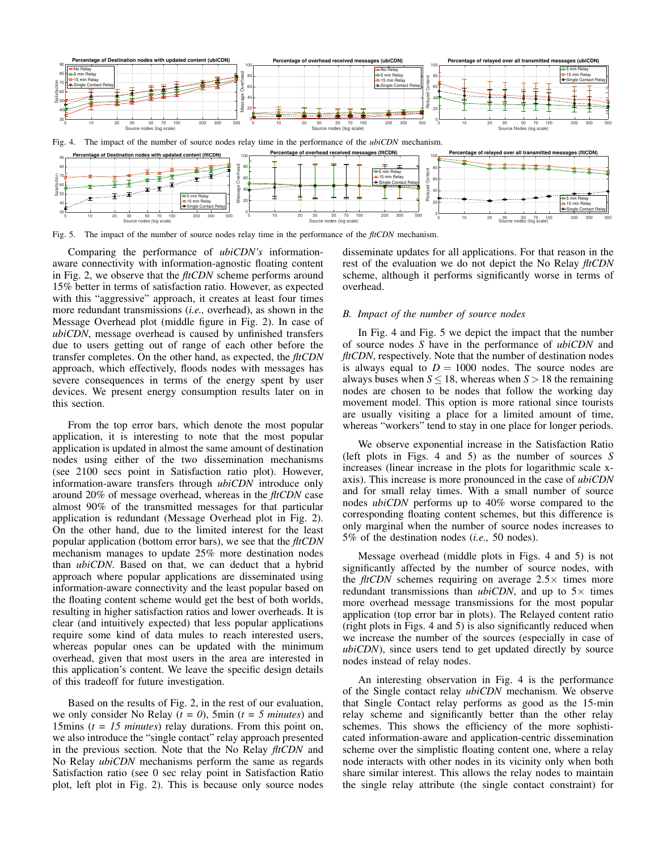

Fig. 5. The impact of the number of source nodes relay time in the performance of the *fltCDN* mechanism.

Comparing the performance of *ubiCDN's* informationaware connectivity with information-agnostic floating content in Fig. 2, we observe that the *fltCDN* scheme performs around 15% better in terms of satisfaction ratio. However, as expected with this "aggressive" approach, it creates at least four times more redundant transmissions (*i.e.,* overhead), as shown in the Message Overhead plot (middle figure in Fig. 2). In case of *ubiCDN*, message overhead is caused by unfinished transfers due to users getting out of range of each other before the transfer completes. On the other hand, as expected, the *fltCDN* approach, which effectively, floods nodes with messages has severe consequences in terms of the energy spent by user devices. We present energy consumption results later on in this section.

From the top error bars, which denote the most popular application, it is interesting to note that the most popular application is updated in almost the same amount of destination nodes using either of the two dissemination mechanisms (see 2100 secs point in Satisfaction ratio plot). However, information-aware transfers through *ubiCDN* introduce only around 20% of message overhead, whereas in the *fltCDN* case almost 90% of the transmitted messages for that particular application is redundant (Message Overhead plot in Fig. 2). On the other hand, due to the limited interest for the least popular application (bottom error bars), we see that the *fltCDN* mechanism manages to update 25% more destination nodes than *ubiCDN*. Based on that, we can deduct that a hybrid approach where popular applications are disseminated using information-aware connectivity and the least popular based on the floating content scheme would get the best of both worlds, resulting in higher satisfaction ratios and lower overheads. It is clear (and intuitively expected) that less popular applications require some kind of data mules to reach interested users, whereas popular ones can be updated with the minimum overhead, given that most users in the area are interested in this application's content. We leave the specific design details of this tradeoff for future investigation.

Based on the results of Fig. 2, in the rest of our evaluation, we only consider No Relay  $(t = 0)$ , 5min  $(t = 5 \text{ minutes})$  and 15mins (*t = 15 minutes*) relay durations. From this point on, we also introduce the "single contact" relay approach presented in the previous section. Note that the No Relay *fltCDN* and No Relay *ubiCDN* mechanisms perform the same as regards Satisfaction ratio (see 0 sec relay point in Satisfaction Ratio plot, left plot in Fig. 2). This is because only source nodes disseminate updates for all applications. For that reason in the rest of the evaluation we do not depict the No Relay *fltCDN* scheme, although it performs significantly worse in terms of overhead.

#### *B. Impact of the number of source nodes*

In Fig. 4 and Fig. 5 we depict the impact that the number of source nodes *S* have in the performance of *ubiCDN* and *fltCDN*, respectively. Note that the number of destination nodes is always equal to  $D = 1000$  nodes. The source nodes are always buses when  $S \leq 18$ , whereas when  $S > 18$  the remaining nodes are chosen to be nodes that follow the working day movement model. This option is more rational since tourists are usually visiting a place for a limited amount of time, whereas "workers" tend to stay in one place for longer periods.

We observe exponential increase in the Satisfaction Ratio (left plots in Figs. 4 and 5) as the number of sources *S* increases (linear increase in the plots for logarithmic scale xaxis). This increase is more pronounced in the case of *ubiCDN* and for small relay times. With a small number of source nodes *ubiCDN* performs up to 40% worse compared to the corresponding floating content schemes, but this difference is only marginal when the number of source nodes increases to 5% of the destination nodes (*i.e.,* 50 nodes).

Message overhead (middle plots in Figs. 4 and 5) is not significantly affected by the number of source nodes, with the  $ftCDN$  schemes requiring on average  $2.5\times$  times more redundant transmissions than  $ubiCDN$ , and up to  $5\times$  times more overhead message transmissions for the most popular application (top error bar in plots). The Relayed content ratio (right plots in Figs. 4 and 5) is also significantly reduced when we increase the number of the sources (especially in case of *ubiCDN*), since users tend to get updated directly by source nodes instead of relay nodes.

An interesting observation in Fig. 4 is the performance of the Single contact relay *ubiCDN* mechanism. We observe that Single Contact relay performs as good as the 15-min relay scheme and significantly better than the other relay schemes. This shows the efficiency of the more sophisticated information-aware and application-centric dissemination scheme over the simplistic floating content one, where a relay node interacts with other nodes in its vicinity only when both share similar interest. This allows the relay nodes to maintain the single relay attribute (the single contact constraint) for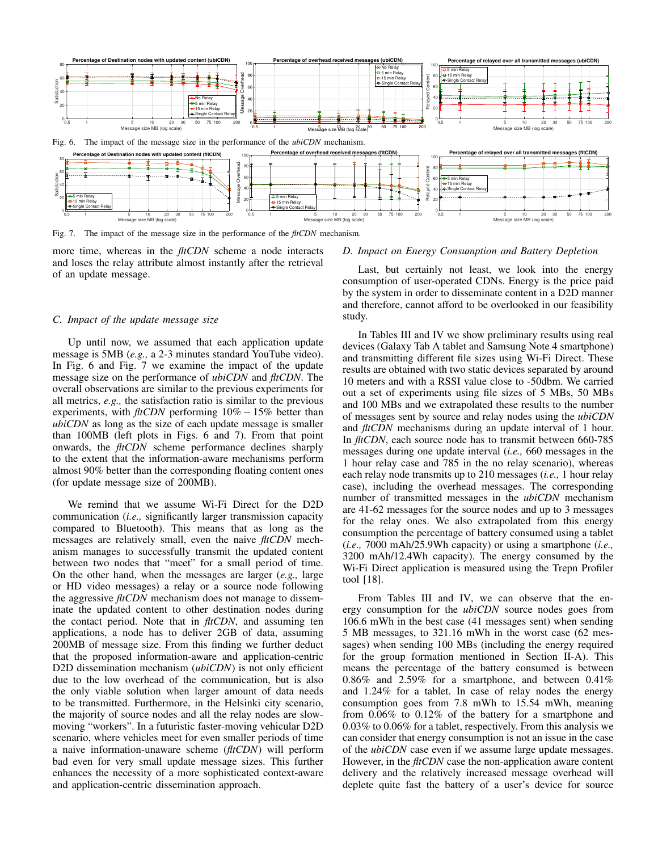

Fig. 7. The impact of the message size in the performance of the *fltCDN* mechanism.

more time, whereas in the *fltCDN* scheme a node interacts and loses the relay attribute almost instantly after the retrieval of an update message.

#### *C. Impact of the update message size*

Up until now, we assumed that each application update message is 5MB (*e.g.,* a 2-3 minutes standard YouTube video). In Fig. 6 and Fig. 7 we examine the impact of the update message size on the performance of *ubiCDN* and *fltCDN*. The overall observations are similar to the previous experiments for all metrics, *e.g.,* the satisfaction ratio is similar to the previous experiments, with *fltCDN* performing 10% −15% better than *ubiCDN* as long as the size of each update message is smaller than 100MB (left plots in Figs. 6 and 7). From that point onwards, the *fltCDN* scheme performance declines sharply to the extent that the information-aware mechanisms perform almost 90% better than the corresponding floating content ones (for update message size of 200MB).

We remind that we assume Wi-Fi Direct for the D2D communication (*i.e.,* significantly larger transmission capacity compared to Bluetooth). This means that as long as the messages are relatively small, even the naive *fltCDN* mechanism manages to successfully transmit the updated content between two nodes that "meet" for a small period of time. On the other hand, when the messages are larger (*e.g.,* large or HD video messages) a relay or a source node following the aggressive *fltCDN* mechanism does not manage to disseminate the updated content to other destination nodes during the contact period. Note that in *fltCDN*, and assuming ten applications, a node has to deliver 2GB of data, assuming 200MB of message size. From this finding we further deduct that the proposed information-aware and application-centric D2D dissemination mechanism *(ubiCDN)* is not only efficient due to the low overhead of the communication, but is also the only viable solution when larger amount of data needs to be transmitted. Furthermore, in the Helsinki city scenario, the majority of source nodes and all the relay nodes are slowmoving "workers". In a futuristic faster-moving vehicular D2D scenario, where vehicles meet for even smaller periods of time a naive information-unaware scheme (*fltCDN*) will perform bad even for very small update message sizes. This further enhances the necessity of a more sophisticated context-aware and application-centric dissemination approach.

# *D. Impact on Energy Consumption and Battery Depletion*

Last, but certainly not least, we look into the energy consumption of user-operated CDNs. Energy is the price paid by the system in order to disseminate content in a D2D manner and therefore, cannot afford to be overlooked in our feasibility study.

In Tables III and IV we show preliminary results using real devices (Galaxy Tab A tablet and Samsung Note 4 smartphone) and transmitting different file sizes using Wi-Fi Direct. These results are obtained with two static devices separated by around 10 meters and with a RSSI value close to -50dbm. We carried out a set of experiments using file sizes of 5 MBs, 50 MBs and 100 MBs and we extrapolated these results to the number of messages sent by source and relay nodes using the *ubiCDN* and *fltCDN* mechanisms during an update interval of 1 hour. In *fltCDN*, each source node has to transmit between 660-785 messages during one update interval (*i.e.,* 660 messages in the 1 hour relay case and 785 in the no relay scenario), whereas each relay node transmits up to 210 messages (*i.e.,* 1 hour relay case), including the overhead messages. The corresponding number of transmitted messages in the *ubiCDN* mechanism are 41-62 messages for the source nodes and up to 3 messages for the relay ones. We also extrapolated from this energy consumption the percentage of battery consumed using a tablet (*i.e.,* 7000 mAh/25.9Wh capacity) or using a smartphone (*i.e.,* 3200 mAh/12.4Wh capacity). The energy consumed by the Wi-Fi Direct application is measured using the Trepn Profiler tool [18].

From Tables III and IV, we can observe that the energy consumption for the *ubiCDN* source nodes goes from 106.6 mWh in the best case (41 messages sent) when sending 5 MB messages, to 321.16 mWh in the worst case (62 messages) when sending 100 MBs (including the energy required for the group formation mentioned in Section II-A). This means the percentage of the battery consumed is between 0.86% and 2.59% for a smartphone, and between 0.41% and 1.24% for a tablet. In case of relay nodes the energy consumption goes from 7.8 mWh to 15.54 mWh, meaning from 0.06% to 0.12% of the battery for a smartphone and 0.03% to 0.06% for a tablet, respectively. From this analysis we can consider that energy consumption is not an issue in the case of the *ubiCDN* case even if we assume large update messages. However, in the *fltCDN* case the non-application aware content delivery and the relatively increased message overhead will deplete quite fast the battery of a user's device for source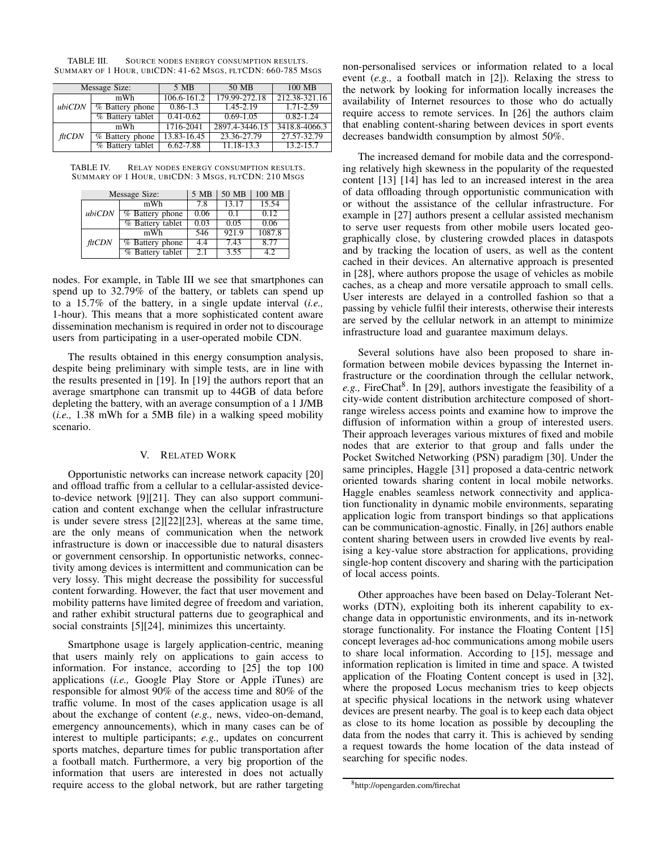| TABLE III. | SOURCE NODES ENERGY CONSUMPTION RESULTS.                    |
|------------|-------------------------------------------------------------|
|            | SUMMARY OF 1 HOUR, UBICDN: 41-62 MSGS, FLTCDN: 660-785 MSGS |
|            |                                                             |

| Message Size: |                  | 5 MB          | 50 MB          | $100 \text{ MB}$ |
|---------------|------------------|---------------|----------------|------------------|
| ubiCDN        | mWh              | 106.6-161.2   | 179.99-272.18  | 212.38-321.16    |
|               | % Battery phone  | $0.86 - 1.3$  | $1.45 - 2.19$  | $1.71 - 2.59$    |
|               | % Battery tablet | $0.41 - 0.62$ | $0.69 - 1.05$  | $0.82 - 1.24$    |
| <b>fltCDN</b> | mWh              | 1716-2041     | 2897.4-3446.15 | 3418.8-4066.3    |
|               | % Battery phone  | 13.83-16.45   | 23.36-27.79    | 27.57-32.79      |
|               | % Battery tablet | $6.62 - 7.88$ | $11.18 - 13.3$ | $13.2 - 15.7$    |

TABLE IV. RELAY NODES ENERGY CONSUMPTION RESULTS. SUMMARY OF 1 HOUR, UBICDN: 3 MSGS, FLTCDN: 210 MSGS

| Message Size:    |                  | 5 MB             | 50 MB | 100 MB |
|------------------|------------------|------------------|-------|--------|
| ubiCDN           | mWh              | $\overline{7.8}$ | 13.17 | 15.54  |
|                  | % Battery phone  | 0.06             | 0.1   | 0.12   |
|                  | % Battery tablet | 0.03             | 0.05  | 0.06   |
| $\frac{f}{W}CDN$ | mWh              | 546              | 921.9 | 1087.8 |
|                  | % Battery phone  | $\overline{4.4}$ | 7.43  | 8.77   |
|                  | % Battery tablet | 2.1              | 3.55  | 4.2    |

nodes. For example, in Table III we see that smartphones can spend up to 32.79% of the battery, or tablets can spend up to a 15.7% of the battery, in a single update interval (*i.e.,* 1-hour). This means that a more sophisticated content aware dissemination mechanism is required in order not to discourage users from participating in a user-operated mobile CDN.

The results obtained in this energy consumption analysis, despite being preliminary with simple tests, are in line with the results presented in [19]. In [19] the authors report that an average smartphone can transmit up to 44GB of data before depleting the battery, with an average consumption of a 1 J/MB (*i.e.,* 1.38 mWh for a 5MB file) in a walking speed mobility scenario.

## V. RELATED WORK

Opportunistic networks can increase network capacity [20] and offload traffic from a cellular to a cellular-assisted deviceto-device network [9][21]. They can also support communication and content exchange when the cellular infrastructure is under severe stress [2][22][23], whereas at the same time, are the only means of communication when the network infrastructure is down or inaccessible due to natural disasters or government censorship. In opportunistic networks, connectivity among devices is intermittent and communication can be very lossy. This might decrease the possibility for successful content forwarding. However, the fact that user movement and mobility patterns have limited degree of freedom and variation, and rather exhibit structural patterns due to geographical and social constraints [5][24], minimizes this uncertainty.

Smartphone usage is largely application-centric, meaning that users mainly rely on applications to gain access to information. For instance, according to [25] the top 100 applications (*i.e.,* Google Play Store or Apple iTunes) are responsible for almost 90% of the access time and 80% of the traffic volume. In most of the cases application usage is all about the exchange of content (*e.g.,* news, video-on-demand, emergency announcements), which in many cases can be of interest to multiple participants; *e.g.,* updates on concurrent sports matches, departure times for public transportation after a football match. Furthermore, a very big proportion of the information that users are interested in does not actually require access to the global network, but are rather targeting non-personalised services or information related to a local event (*e.g.,* a football match in [2]). Relaxing the stress to the network by looking for information locally increases the availability of Internet resources to those who do actually require access to remote services. In [26] the authors claim that enabling content-sharing between devices in sport events decreases bandwidth consumption by almost 50%.

The increased demand for mobile data and the corresponding relatively high skewness in the popularity of the requested content [13] [14] has led to an increased interest in the area of data offloading through opportunistic communication with or without the assistance of the cellular infrastructure. For example in [27] authors present a cellular assisted mechanism to serve user requests from other mobile users located geographically close, by clustering crowded places in dataspots and by tracking the location of users, as well as the content cached in their devices. An alternative approach is presented in [28], where authors propose the usage of vehicles as mobile caches, as a cheap and more versatile approach to small cells. User interests are delayed in a controlled fashion so that a passing by vehicle fulfil their interests, otherwise their interests are served by the cellular network in an attempt to minimize infrastructure load and guarantee maximum delays.

Several solutions have also been proposed to share information between mobile devices bypassing the Internet infrastructure or the coordination through the cellular network, e.g., FireChat<sup>8</sup>. In [29], authors investigate the feasibility of a city-wide content distribution architecture composed of shortrange wireless access points and examine how to improve the diffusion of information within a group of interested users. Their approach leverages various mixtures of fixed and mobile nodes that are exterior to that group and falls under the Pocket Switched Networking (PSN) paradigm [30]. Under the same principles, Haggle [31] proposed a data-centric network oriented towards sharing content in local mobile networks. Haggle enables seamless network connectivity and application functionality in dynamic mobile environments, separating application logic from transport bindings so that applications can be communication-agnostic. Finally, in [26] authors enable content sharing between users in crowded live events by realising a key-value store abstraction for applications, providing single-hop content discovery and sharing with the participation of local access points.

Other approaches have been based on Delay-Tolerant Networks (DTN), exploiting both its inherent capability to exchange data in opportunistic environments, and its in-network storage functionality. For instance the Floating Content [15] concept leverages ad-hoc communications among mobile users to share local information. According to [15], message and information replication is limited in time and space. A twisted application of the Floating Content concept is used in [32], where the proposed Locus mechanism tries to keep objects at specific physical locations in the network using whatever devices are present nearby. The goal is to keep each data object as close to its home location as possible by decoupling the data from the nodes that carry it. This is achieved by sending a request towards the home location of the data instead of searching for specific nodes.

<sup>8</sup>http://opengarden.com/firechat